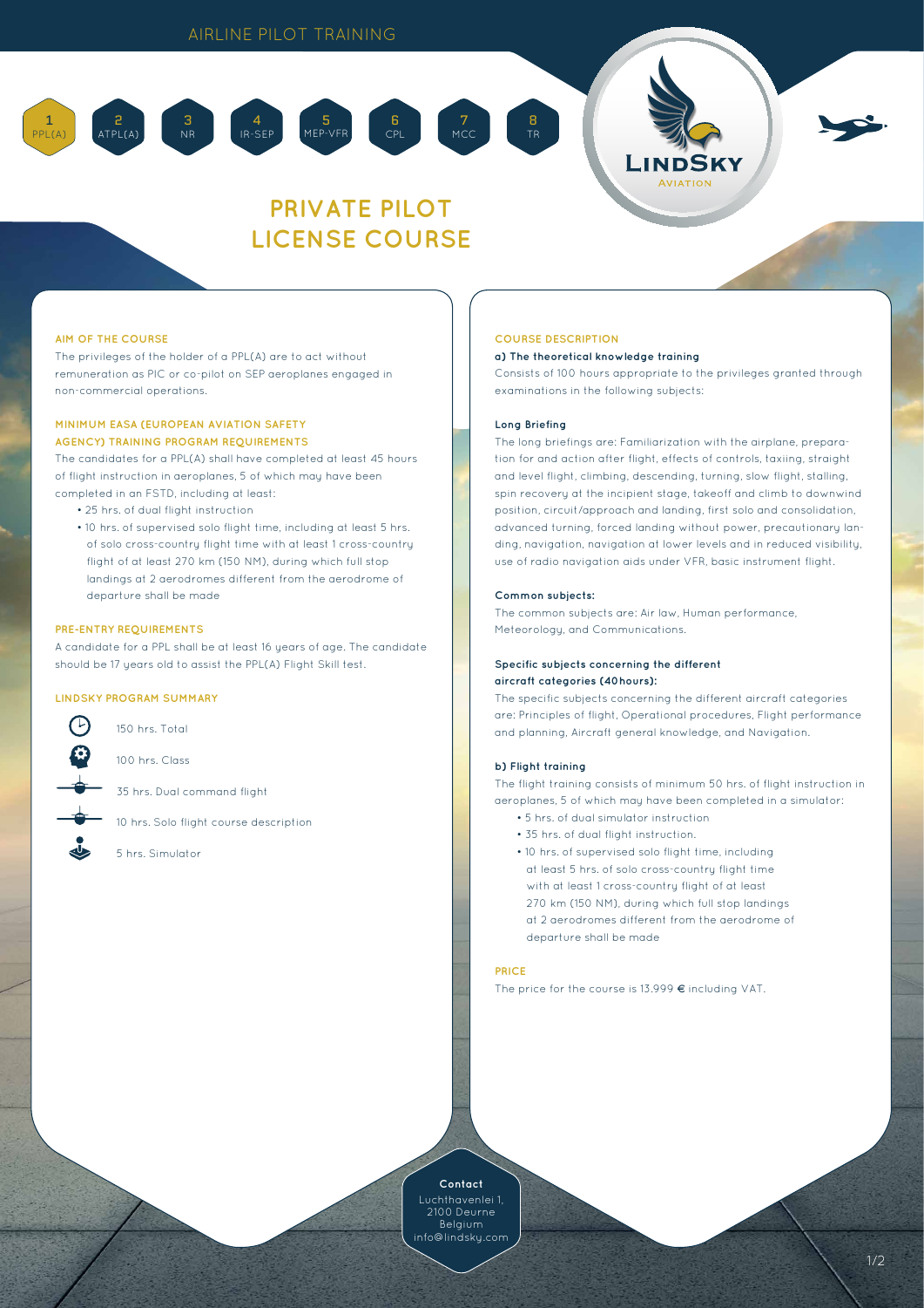5 MEP-VFR

4 IR-SEP



1

# **PRIVATE PILOT LICENSE COURSE**

6 CPL

7 MCC

### **AIM OF THE COURSE**

The privileges of the holder of a PPL(A) are to act without remuneration as PIC or co-pilot on SEP aeroplanes engaged in non-commercial operations.

## **MINIMUM EASA (EUROPEAN AVIATION SAFETY AGENCY) TRAINING PROGRAM REQUIREMENTS**

3 NR

The candidates for a PPL(A) shall have completed at least 45 hours of flight instruction in aeroplanes, 5 of which may have been completed in an FSTD, including at least:

- 25 hrs. of dual flight instruction
- 10 hrs. of supervised solo flight time, including at least 5 hrs. of solo cross-country flight time with at least 1 cross-country flight of at least 270 km (150 NM), during which full stop landings at 2 aerodromes different from the aerodrome of departure shall be made

### **PRE-ENTRY REQUIREMENTS**

A candidate for a PPL shall be at least 16 years of age. The candidate should be 17 years old to assist the PPL(A) Flight Skill test.

# **LINDSKY PROGRAM SUMMARY**



150 hrs. Total

100 hrs. Class

35 hrs. Dual command flight

10 hrs. Solo flight course description

5 hrs. Simulator

# **COURSE DESCRIPTION**

#### **a) The theoretical knowledge training**

Consists of 100 hours appropriate to the privileges granted through examinations in the following subjects:

#### **Long Briefing**

8 TR

The long briefings are: Familiarization with the airplane, preparation for and action after flight, effects of controls, taxiing, straight and level flight, climbing, descending, turning, slow flight, stalling, spin recovery at the incipient stage, takeoff and climb to downwind position, circuit/approach and landing, first solo and consolidation, advanced turning, forced landing without power, precautionary landing, navigation, navigation at lower levels and in reduced visibility, use of radio navigation aids under VFR, basic instrument flight.

#### **Common subjects:**

The common subjects are: Air law, Human performance, Meteorology, and Communications.

#### **Specific subjects concerning the different aircraft categories (40hours):**

The specific subjects concerning the different aircraft categories are: Principles of flight, Operational procedures, Flight performance and planning, Aircraft general knowledge, and Navigation.

### **b) Flight training**

The flight training consists of minimum 50 hrs. of flight instruction in aeroplanes, 5 of which may have been completed in a simulator:

- 5 hrs. of dual simulator instruction
- 35 hrs. of dual flight instruction.
- 10 hrs. of supervised solo flight time, including at least 5 hrs. of solo cross-country flight time with at least 1 cross-country flight of at least 270 km (150 NM), during which full stop landings at 2 aerodromes different from the aerodrome of departure shall be made

#### **PRICE**

The price for the course is 13.999  $\epsilon$  including VAT.

**Contact** 2100 Deurne Belgium info@lindsky.com